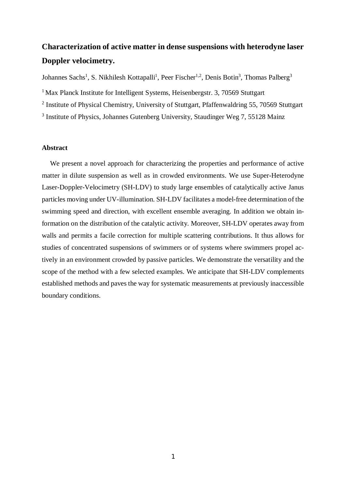# **Characterization of active matter in dense suspensions with heterodyne laser Doppler velocimetry.**

Johannes Sachs<sup>1</sup>, S. Nikhilesh Kottapalli<sup>1</sup>, Peer Fischer<sup>1,2</sup>, Denis Botin<sup>3</sup>, Thomas Palberg<sup>3</sup>

- <sup>1</sup> Max Planck Institute for Intelligent Systems, Heisenbergstr. 3, 70569 Stuttgart
- <sup>2</sup> Institute of Physical Chemistry, University of Stuttgart, Pfaffenwaldring 55, 70569 Stuttgart
- <sup>3</sup> Institute of Physics, Johannes Gutenberg University, Staudinger Weg 7, 55128 Mainz

### **Abstract**

We present a novel approach for characterizing the properties and performance of active matter in dilute suspension as well as in crowded environments. We use Super-Heterodyne Laser-Doppler-Velocimetry (SH-LDV) to study large ensembles of catalytically active Janus particles moving under UV-illumination. SH-LDV facilitates a model-free determination of the swimming speed and direction, with excellent ensemble averaging. In addition we obtain information on the distribution of the catalytic activity. Moreover, SH-LDV operates away from walls and permits a facile correction for multiple scattering contributions. It thus allows for studies of concentrated suspensions of swimmers or of systems where swimmers propel actively in an environment crowded by passive particles. We demonstrate the versatility and the scope of the method with a few selected examples. We anticipate that SH-LDV complements established methods and paves the way for systematic measurements at previously inaccessible boundary conditions.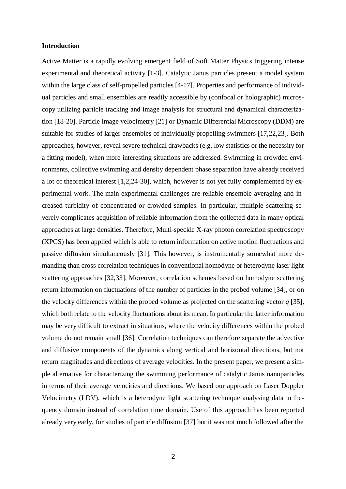#### **Introduction**

Active Matter is a rapidly evolving emergent field of Soft Matter Physics triggering intense experimental and theoretical activity [1-3]. Catalytic Janus particles present a model system within the large class of self-propelled particles [4-17]. Properties and performance of individual particles and small ensembles are readily accessible by (confocal or holographic) microscopy utilizing particle tracking and image analysis for structural and dynamical characterization [18-20]. Particle image velocimetry [21] or Dynamic Differential Microscopy (DDM) are suitable for studies of larger ensembles of individually propelling swimmers [17,22,23]. Both approaches, however, reveal severe technical drawbacks (e.g. low statistics or the necessity for a fitting model), when more interesting situations are addressed. Swimming in crowded environments, collective swimming and density dependent phase separation have already received a lot of theoretical interest [1,2,24-30], which, however is not yet fully complemented by experimental work. The main experimental challenges are reliable ensemble averaging and increased turbidity of concentrated or crowded samples. In particular, multiple scattering severely complicates acquisition of reliable information from the collected data in many optical approaches at large densities. Therefore, Multi-speckle X-ray photon correlation spectroscopy (XPCS) has been applied which is able to return information on active motion fluctuations and passive diffusion simultaneously [31]. This however, is instrumentally somewhat more demanding than cross correlation techniques in conventional homodyne or heterodyne laser light scattering approaches [32,33]. Moreover, correlation schemes based on homodyne scattering return information on fluctuations of the number of particles in the probed volume [34], or on the velocity differences within the probed volume as projected on the scattering vector *q* [35], which both relate to the velocity fluctuations about its mean. In particular the latter information may be very difficult to extract in situations, where the velocity differences within the probed volume do not remain small [36]. Correlation techniques can therefore separate the advective and diffusive components of the dynamics along vertical and horizontal directions, but not return magnitudes and directions of average velocities. In the present paper, we present a simple alternative for characterizing the swimming performance of catalytic Janus nanoparticles in terms of their average velocities and directions. We based our approach on Laser Doppler Velocimetry (LDV), which is a heterodyne light scattering technique analysing data in frequency domain instead of correlation time domain. Use of this approach has been reported already very early, for studies of particle diffusion [37] but it was not much followed after the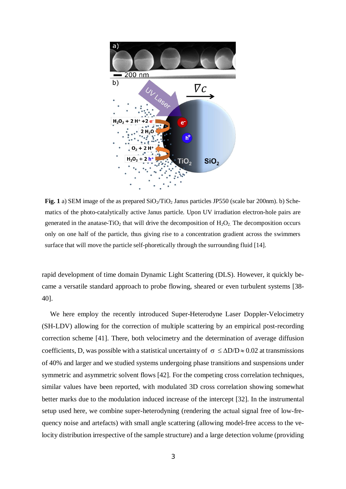

**Fig. 1** a) SEM image of the as prepared  $SiO<sub>2</sub>/TiO<sub>2</sub>$  Janus particles JP550 (scale bar 200nm). b) Schematics of the photo-catalytically active Janus particle. Upon UV irradiation electron-hole pairs are generated in the anatase-TiO<sub>2</sub> that will drive the decomposition of  $H_2O_2$ . The decomposition occurs only on one half of the particle, thus giving rise to a concentration gradient across the swimmers surface that will move the particle self-phoretically through the surrounding fluid [14].

rapid development of time domain Dynamic Light Scattering (DLS). However, it quickly became a versatile standard approach to probe flowing, sheared or even turbulent systems [38- 40].

We here employ the recently introduced Super-Heterodyne Laser Doppler-Velocimetry (SH-LDV) allowing for the correction of multiple scattering by an empirical post-recording correction scheme [41]. There, both velocimetry and the determination of average diffusion coefficients, D, was possible with a statistical uncertainty of  $\sigma \le \Delta D/D \approx 0.02$  at transmissions of 40% and larger and we studied systems undergoing phase transitions and suspensions under symmetric and asymmetric solvent flows [42]. For the competing cross correlation techniques, similar values have been reported, with modulated 3D cross correlation showing somewhat better marks due to the modulation induced increase of the intercept [32]. In the instrumental setup used here, we combine super-heterodyning (rendering the actual signal free of low-frequency noise and artefacts) with small angle scattering (allowing model-free access to the velocity distribution irrespective of the sample structure) and a large detection volume (providing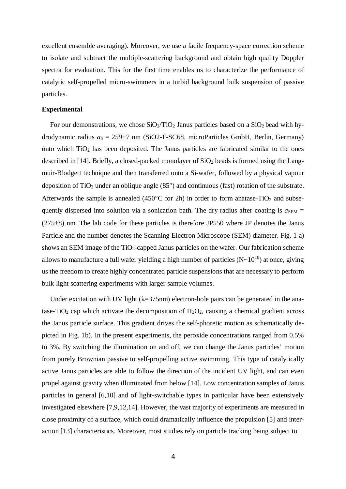excellent ensemble averaging). Moreover, we use a facile frequency-space correction scheme to isolate and subtract the multiple-scattering background and obtain high quality Doppler spectra for evaluation. This for the first time enables us to characterize the performance of catalytic self-propelled micro-swimmers in a turbid background bulk suspension of passive particles.

#### **Experimental**

For our demonstrations, we chose  $SiO<sub>2</sub>/TiO<sub>2</sub>$  Janus particles based on a  $SiO<sub>2</sub>$  bead with hydrodynamic radius *a*h = 259±7 nm (SiO2-F-SC68, microParticles GmbH, Berlin, Germany) onto which  $TiO<sub>2</sub>$  has been deposited. The Janus particles are fabricated similar to the ones described in [14]. Briefly, a closed-packed monolayer of  $SiO<sub>2</sub>$  beads is formed using the Langmuir-Blodgett technique and then transferred onto a Si-wafer, followed by a physical vapour deposition of  $TiO<sub>2</sub>$  under an oblique angle (85 $^{\circ}$ ) and continuous (fast) rotation of the substrate. Afterwards the sample is annealed (450 $\degree$ C for 2h) in order to form anatase-TiO<sub>2</sub> and subsequently dispersed into solution via a sonication bath. The dry radius after coating is  $a_{\text{SEM}} =$ (275±8) nm. The lab code for these particles is therefore JP550 where JP denotes the Janus Particle and the number denotes the Scanning Electron Microscope (SEM) diameter. Fig. 1 a) shows an SEM image of the  $TiO<sub>2</sub>$ -capped Janus particles on the wafer. Our fabrication scheme allows to manufacture a full wafer yielding a high number of particles  $(N-10^{10})$  at once, giving us the freedom to create highly concentrated particle suspensions that are necessary to perform bulk light scattering experiments with larger sample volumes.

Under excitation with UV light  $(\lambda=375$ nm) electron-hole pairs can be generated in the anatase-TiO<sub>2</sub> cap which activate the decomposition of  $H_2O_2$ , causing a chemical gradient across the Janus particle surface. This gradient drives the self-phoretic motion as schematically depicted in Fig. 1b). In the present experiments, the peroxide concentrations ranged from 0.5% to 3%. By switching the illumination on and off, we can change the Janus particles' motion from purely Brownian passive to self-propelling active swimming. This type of catalytically active Janus particles are able to follow the direction of the incident UV light, and can even propel against gravity when illuminated from below [14]. Low concentration samples of Janus particles in general [6,10] and of light-switchable types in particular have been extensively investigated elsewhere [7,9,12,14]. However, the vast majority of experiments are measured in close proximity of a surface, which could dramatically influence the propulsion [5] and interaction [13] characteristics. Moreover, most studies rely on particle tracking being subject to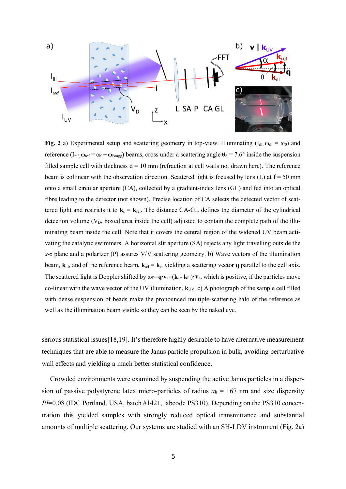

**Fig. 2** a) Experimental setup and scattering geometry in top-view. Illuminating ( $I_{ill}$ ,  $\omega_{ill} = \omega_0$ ) and reference (I<sub>ref,  $\omega_{ref} = \omega_0 + \omega_{Bragg}$ ) beams, cross under a scattering angle  $\theta_s = 7.6^\circ$  inside the suspension</sub> filled sample cell with thickness  $d = 10$  mm (refraction at cell walls not drawn here). The reference beam is collinear with the observation direction. Scattered light is focused by lens  $(L)$  at  $f = 50$  mm onto a small circular aperture (CA), collected by a gradient-index lens (GL) and fed into an optical fibre leading to the detector (not shown). Precise location of CA selects the detected vector of scattered light and restricts it to  $\mathbf{k}_s = \mathbf{k}_{ref}$ . The distance CA-GL defines the diameter of the cylindrical detection volume  $(V_D)$ , boxed area inside the cell) adjusted to contain the complete path of the illuminating beam inside the cell. Note that it covers the central region of the widened UV beam activating the catalytic swimmers. A horizontal slit aperture (SA) rejects any light travelling outside the *x*-*z* plane and a polarizer (P) assures V/V scattering geometry. b) Wave vectors of the illumination beam,  $\mathbf{k}_{\text{ill}}$ , and of the reference beam,  $\mathbf{k}_{\text{ref}} = \mathbf{k}_{\text{s}}$ , yielding a scattering vector **q** parallel to the cell axis. The scattered light is Doppler shifted by  $\omega_D = \mathbf{q} \cdot \mathbf{v}_z = (\mathbf{k}_s - \mathbf{k}_{i11}) \cdot \mathbf{v}_z$ , which is positive, if the particles move co-linear with the wave vector of the UV illumination,  $k_{UV}$ . c) A photograph of the sample cell filled with dense suspension of beads make the pronounced multiple-scattering halo of the reference as well as the illumination beam visible so they can be seen by the naked eye.

serious statistical issues[18,19]. It's therefore highly desirable to have alternative measurement techniques that are able to measure the Janus particle propulsion in bulk, avoiding perturbative wall effects and yielding a much better statistical confidence.

Crowded environments were examined by suspending the active Janus particles in a dispersion of passive polystyrene latex micro-particles of radius  $a<sub>h</sub> = 167$  nm and size dispersity *PI*=0.08 (IDC Portland, USA, batch #1421, labcode PS310). Depending on the PS310 concentration this yielded samples with strongly reduced optical transmittance and substantial amounts of multiple scattering. Our systems are studied with an SH-LDV instrument (Fig. 2a)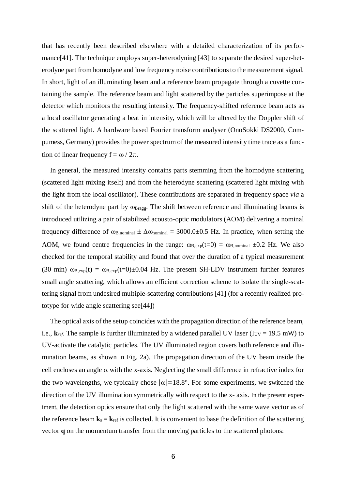that has recently been described elsewhere with a detailed characterization of its performance[41]. The technique employs super-heterodyning [43] to separate the desired super-heterodyne part from homodyne and low frequency noise contributions to the measurement signal. In short, light of an illuminating beam and a reference beam propagate through a cuvette containing the sample. The reference beam and light scattered by the particles superimpose at the detector which monitors the resulting intensity. The frequency-shifted reference beam acts as a local oscillator generating a beat in intensity, which will be altered by the Doppler shift of the scattered light. A hardware based Fourier transform analyser (OnoSokki DS2000, Compumess, Germany) provides the power spectrum of the measured intensity time trace as a function of linear frequency  $f = \omega / 2\pi$ .

In general, the measured intensity contains parts stemming from the homodyne scattering (scattered light mixing itself) and from the heterodyne scattering (scattered light mixing with the light from the local oscillator). These contributions are separated in frequency space *via* a shift of the heterodyne part by  $\omega_{\text{Bragg}}$ . The shift between reference and illuminating beams is introduced utilizing a pair of stabilized acousto-optic modulators (AOM) delivering a nominal frequency difference of  $\omega_{\text{B,nominal}} \pm \Delta \omega_{\text{nominal}} = 3000.0 \pm 0.5$  Hz. In practice, when setting the AOM, we found centre frequencies in the range:  $\omega_{\text{B,exp}}(t=0) = \omega_{\text{B,nominal}} \pm 0.2$  Hz. We also checked for the temporal stability and found that over the duration of a typical measurement (30 min)  $\omega_{\text{B,exp}}(t) = \omega_{\text{B,exp}}(t=0) \pm 0.04$  Hz. The present SH-LDV instrument further features small angle scattering, which allows an efficient correction scheme to isolate the single-scattering signal from undesired multiple-scattering contributions [41] (for a recently realized prototype for wide angle scattering see[44])

The optical axis of the setup coincides with the propagation direction of the reference beam, i.e.,  $\mathbf{k}_{ref}$ . The sample is further illuminated by a widened parallel UV laser ( $I_{UV} = 19.5$  mW) to UV-activate the catalytic particles. The UV illuminated region covers both reference and illumination beams, as shown in Fig. 2a). The propagation direction of the UV beam inside the cell encloses an angle  $\alpha$  with the x-axis. Neglecting the small difference in refractive index for the two wavelengths, we typically chose  $|\alpha|=18.8^{\circ}$ . For some experiments, we switched the direction of the UV illumination symmetrically with respect to the x- axis. In the present experiment, the detection optics ensure that only the light scattered with the same wave vector as of the reference beam  $\mathbf{k}_s = \mathbf{k}_{\text{ref}}$  is collected. It is convenient to base the definition of the scattering vector **q** on the momentum transfer from the moving particles to the scattered photons: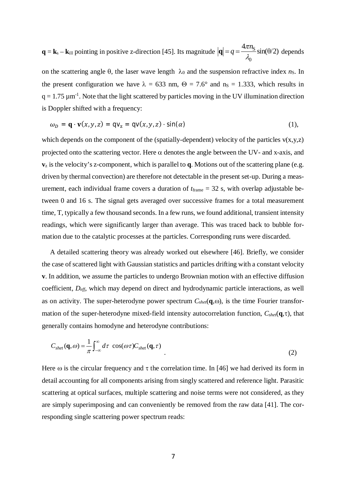${\bf q} = {\bf k}_s - {\bf k}_{i11}$  pointing in positive z-direction [45]. Its magnitude  $|{\bf q}| = q = \frac{4\pi R_s}{a}$  $\mathbf 0$  $q = \frac{4\pi n_S}{r} \sin(\theta/2)$  $\mathbf{q} = q = \frac{4\pi R g}{\lambda_0} \sin(\theta/2)$  depends

on the scattering angle  $\theta$ , the laser wave length  $\lambda_0$  and the suspension refractive index *n*s. In the present configuration we have  $\lambda = 633$  nm,  $\Theta = 7.6^{\circ}$  and ns = 1.333, which results in  $q = 1.75 \mu m^{-1}$ . Note that the light scattered by particles moving in the UV illumination direction is Doppler shifted with a frequency:

$$
\omega_D = \mathbf{q} \cdot \mathbf{v}(x, y, z) = q \mathbf{v}_z = q \mathbf{v}(x, y, z) \cdot \sin(\alpha)
$$
 (1),

which depends on the component of the (spatially-dependent) velocity of the particles  $v(x,y,z)$ projected onto the scattering vector. Here  $\alpha$  denotes the angle between the UV- and x-axis, and **v**z is the velocity's z-component, which is parallel to **q**. Motions out of the scattering plane (e.g. driven by thermal convection) are therefore not detectable in the present set-up. During a measurement, each individual frame covers a duration of *t*frame = 32 s, with overlap adjustable between 0 and 16 s. The signal gets averaged over successive frames for a total measurement time, T, typically a few thousand seconds. In a few runs, we found additional, transient intensity readings, which were significantly larger than average. This was traced back to bubble formation due to the catalytic processes at the particles. Corresponding runs were discarded.

A detailed scattering theory was already worked out elsewhere [46]. Briefly, we consider the case of scattered light with Gaussian statistics and particles drifting with a constant velocity **v**. In addition, we assume the particles to undergo Brownian motion with an effective diffusion coefficient, *Deff*, which may depend on direct and hydrodynamic particle interactions, as well as on activity. The super-heterodyne power spectrum  $C_{\text{shef}}(\mathbf{q},\omega)$ , is the time Fourier transformation of the super-heterodyne mixed-field intensity autocorrelation function, *Cshet*(**q**,t), that generally contains homodyne and heterodyne contributions:

$$
C_{\text{sheet}}(\mathbf{q},\omega) = \frac{1}{\pi} \int_{-\infty}^{\infty} d\tau \cos(\omega \tau) C_{\text{sheet}}(\mathbf{q},\tau)
$$
\n(2)

Here  $\omega$  is the circular frequency and  $\tau$  the correlation time. In [46] we had derived its form in detail accounting for all components arising from singly scattered and reference light. Parasitic scattering at optical surfaces, multiple scattering and noise terms were not considered, as they are simply superimposing and can conveniently be removed from the raw data [41]. The corresponding single scattering power spectrum reads: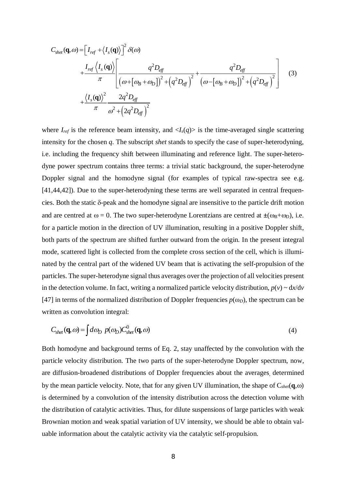$$
C_{\text{sheet}}(\mathbf{q}, \omega) = \left[I_{\text{ref}} + \langle I_s(\mathbf{q}) \rangle\right]^2 \delta(\omega)
$$
  
+ 
$$
\frac{I_{\text{ref}} \langle I_s(\mathbf{q}) \rangle}{\pi} \left[\frac{q^2 D_{\text{eff}}}{\left(\omega + \left[\omega_B + \omega_D\right]\right)^2 + \left(q^2 D_{\text{eff}}\right)^2} + \frac{q^2 D_{\text{eff}}}{\left(\omega - \left[\omega_B + \omega_D\right]\right)^2 + \left(q^2 D_{\text{eff}}\right)^2}\right]
$$
(3)  
+ 
$$
\frac{\langle I_s(\mathbf{q}) \rangle^2}{\pi} \frac{2q^2 D_{\text{eff}}}{\omega^2 + \left(2q^2 D_{\text{eff}}\right)^2}
$$

where  $I_{ref}$  is the reference beam intensity, and  $\langle I_s(q)\rangle$  is the time-averaged single scattering intensity for the chosen *q*. The subscript *shet* stands to specify the case of super-heterodyning, i.e. including the frequency shift between illuminating and reference light. The super-heterodyne power spectrum contains three terms: a trivial static background, the super-heterodyne Doppler signal and the homodyne signal (for examples of typical raw-spectra see e.g. [41,44,42]). Due to the super-heterodyning these terms are well separated in central frequencies. Both the static  $\delta$ -peak and the homodyne signal are insensitive to the particle drift motion and are centred at  $\omega = 0$ . The two super-heterodyne Lorentzians are centred at  $\pm(\omega_B+\omega_D)$ , i.e. for a particle motion in the direction of UV illumination, resulting in a positive Doppler shift, both parts of the spectrum are shifted further outward from the origin. In the present integral mode, scattered light is collected from the complete cross section of the cell, which is illuminated by the central part of the widened UV beam that is activating the self-propulsion of the particles. The super-heterodyne signal thus averages over the projection of all velocities present in the detection volume. In fact, writing a normalized particle velocity distribution,  $p(v) \sim dx/dv$ [47] in terms of the normalized distribution of Doppler frequencies  $p(\omega_D)$ , the spectrum can be written as convolution integral:

$$
C_{\text{sheet}}(\mathbf{q}, \omega) = \int d\omega_D \ p(\omega_D) C_{\text{sheet}}^0(\mathbf{q}, \omega) \tag{4}
$$

Both homodyne and background terms of Eq. 2, stay unaffected by the convolution with the particle velocity distribution. The two parts of the super-heterodyne Doppler spectrum, now, are diffusion-broadened distributions of Doppler frequencies about the averages, determined by the mean particle velocity. Note, that for any given UV illumination, the shape of  $C_{\text{shef}}(\mathbf{q},\omega)$ is determined by a convolution of the intensity distribution across the detection volume with the distribution of catalytic activities. Thus, for dilute suspensions of large particles with weak Brownian motion and weak spatial variation of UV intensity, we should be able to obtain valuable information about the catalytic activity via the catalytic self-propulsion.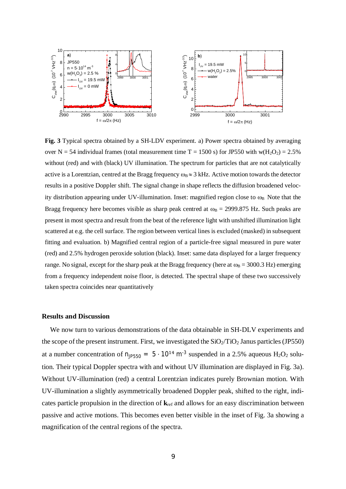

**Fig. 3** Typical spectra obtained by a SH-LDV experiment. a) Power spectra obtained by averaging over N = 54 individual frames (total measurement time T = 1500 s) for JP550 with w(H<sub>2</sub>O<sub>2</sub>) = 2.5% without (red) and with (black) UV illumination. The spectrum for particles that are not catalytically active is a Lorentzian, centred at the Bragg frequency  $\omega_B \approx 3$  kHz. Active motion towards the detector results in a positive Doppler shift. The signal change in shape reflects the diffusion broadened velocity distribution appearing under UV-illumination. Inset: magnified region close to  $\omega_B$  Note that the Bragg frequency here becomes visible as sharp peak centred at  $\omega_B = 2999.875$  Hz. Such peaks are present in most spectra and result from the beat of the reference light with unshifted illumination light scattered at e.g. the cell surface. The region between vertical lines is excluded (masked) in subsequent fitting and evaluation. b) Magnified central region of a particle-free signal measured in pure water (red) and 2.5% hydrogen peroxide solution (black). Inset: same data displayed for a larger frequency range. No signal, except for the sharp peak at the Bragg frequency (here at  $\omega_B = 3000.3$  Hz) emerging from a frequency independent noise floor, is detected. The spectral shape of these two successively taken spectra coincides near quantitatively

### **Results and Discussion**

We now turn to various demonstrations of the data obtainable in SH-DLV experiments and the scope of the present instrument. First, we investigated the  $SiO<sub>2</sub>/TiO<sub>2</sub>$  Janus particles (JP550) at a number concentration of  $n_{\text{IP550}} = 5 \cdot 10^{14} \text{ m}^{-3}$  suspended in a 2.5% aqueous H<sub>2</sub>O<sub>2</sub> solution. Their typical Doppler spectra with and without UV illumination are displayed in Fig. 3a). Without UV-illumination (red) a central Lorentzian indicates purely Brownian motion. With UV-illumination a slightly asymmetrically broadened Doppler peak, shifted to the right, indicates particle propulsion in the direction of **k**ref and allows for an easy discrimination between passive and active motions. This becomes even better visible in the inset of Fig. 3a showing a magnification of the central regions of the spectra.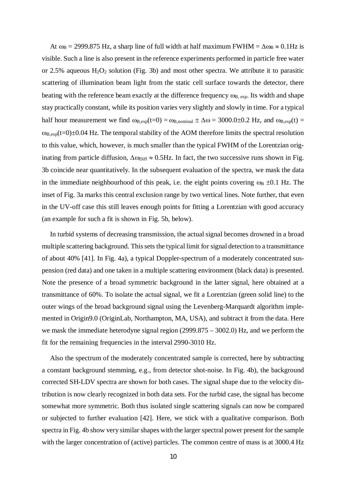At  $\omega_B$  = 2999.875 Hz, a sharp line of full width at half maximum FWHM =  $\Delta \omega_B \approx 0.1$  Hz is visible. Such a line is also present in the reference experiments performed in particle free water or 2.5% aqueous  $H_2O_2$  solution (Fig. 3b) and most other spectra. We attribute it to parasitic scattering of illumination beam light from the static cell surface towards the detector, there beating with the reference beam exactly at the difference frequency  $\omega_{\text{B, exp}}$ . Its width and shape stay practically constant, while its position varies very slightly and slowly in time. For a typical half hour measurement we find  $\omega_{\text{B,exp}}(t=0) = \omega_{\text{B,nominal}} \pm \Delta \omega = 3000.0 \pm 0.2$  Hz, and  $\omega_{\text{B,exp}}(t) =$  $\omega_{\text{B,exp}}(t=0) \pm 0.04$  Hz. The temporal stability of the AOM therefore limits the spectral resolution to this value, which, however, is much smaller than the typical FWHM of the Lorentzian originating from particle diffusion,  $\Delta \omega_{\text{Diff}} \approx 0.5 \text{Hz}$ . In fact, the two successive runs shown in Fig. 3b coincide near quantitatively. In the subsequent evaluation of the spectra, we mask the data in the immediate neighbourhood of this peak, i.e. the eight points covering  $\omega_B \pm 0.1$  Hz. The inset of Fig. 3a marks this central exclusion range by two vertical lines. Note further, that even in the UV-off case this still leaves enough points for fitting a Lorentzian with good accuracy (an example for such a fit is shown in Fig. 5b, below).

In turbid systems of decreasing transmission, the actual signal becomes drowned in a broad multiple scattering background. This sets the typical limit for signal detection to a transmittance of about 40% [41]. In Fig. 4a), a typical Doppler-spectrum of a moderately concentrated suspension (red data) and one taken in a multiple scattering environment (black data) is presented. Note the presence of a broad symmetric background in the latter signal, here obtained at a transmittance of 60%. To isolate the actual signal, we fit a Lorentzian (green solid line) to the outer wings of the broad background signal using the Levenberg-Marquardt algorithm implemented in Origin9.0 (OriginLab, Northampton, MA, USA), and subtract it from the data. Here we mask the immediate heterodyne signal region (2999.875 – 3002.0) Hz, and we perform the fit for the remaining frequencies in the interval 2990-3010 Hz.

Also the spectrum of the moderately concentrated sample is corrected, here by subtracting a constant background stemming, e.g., from detector shot-noise. In Fig. 4b), the background corrected SH-LDV spectra are shown for both cases. The signal shape due to the velocity distribution is now clearly recognized in both data sets. For the turbid case, the signal has become somewhat more symmetric. Both thus isolated single scattering signals can now be compared or subjected to further evaluation [42]. Here, we stick with a qualitative comparison. Both spectra in Fig. 4b show very similar shapes with the larger spectral power present for the sample with the larger concentration of (active) particles. The common centre of mass is at 3000.4 Hz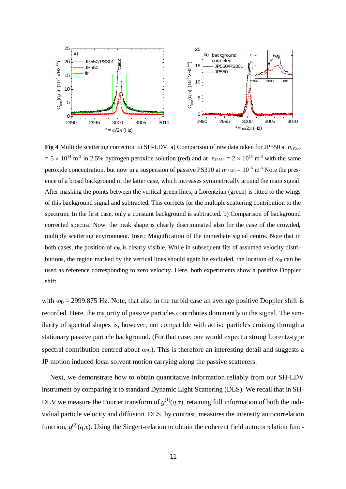

**Fig 4** Multiple scattering correction in SH-LDV. a) Comparison of raw data taken for JP550 at  $n_{\text{JP550}}$  $= 5 \times 10^{14}$  m<sup>-3</sup> in 2.5% hydrogen peroxide solution (red) and at  $n_{\text{IP550}} = 2 \times 10^{15}$  m<sup>-3</sup> with the same peroxide concentration, but now in a suspension of passive PS310 at  $n_{PSS10} = 10^{16}$  m<sup>-3</sup> Note the presence of a broad background in the latter case, which increases symmetrically around the main signal. After masking the points between the vertical green lines, a Lorentzian (green) is fitted to the wings of this background signal and subtracted. This corrects for the multiple scattering contribution to the spectrum. In the first case, only a constant background is subtracted. b) Comparison of background corrected spectra. Now, the peak shape is clearly discriminated also for the case of the crowded, multiply scattering environment. Inset: Magnification of the immediate signal centre. Note that in both cases, the position of  $\omega_B$  is clearly visible. While in subsequent fits of assumed velocity distributions, the region marked by the vertical lines should again be excluded, the location of  $\omega_B$  can be used as reference corresponding to zero velocity. Here, both experiments show a positive Doppler shift.

with  $\omega_B = 2999.875$  Hz. Note, that also in the turbid case an average positive Doppler shift is recorded. Here, the majority of passive particles contributes dominantly to the signal. The similarity of spectral shapes is, however, not compatible with active particles cruising through a stationary passive particle background. (For that case, one would expect a strong Lorentz-type spectral contribution centred about  $\omega_B$ .). This is therefore an interesting detail and suggests a JP motion induced local solvent motion carrying along the passive scatterers.

Next, we demonstrate how to obtain quantitative information reliably from our SH-LDV instrument by comparing it to standard Dynamic Light Scattering (DLS). We recall that in SH-DLV we measure the Fourier transform of  $g^{(1)}(q,\tau)$ , retaining full information of both the individual particle velocity and diffusion. DLS, by contrast, measures the intensity autocorrelation function,  $g^{(2)}(q,\tau)$ . Using the Siegert-relation to obtain the coherent field autocorrelation func-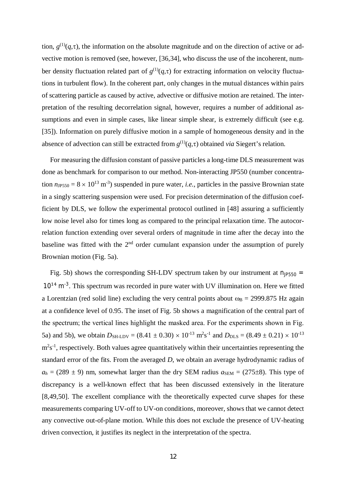tion,  $g^{(1)}(q,\tau)$ , the information on the absolute magnitude and on the direction of active or advective motion is removed (see, however, [36,34], who discuss the use of the incoherent, number density fluctuation related part of  $g^{(1)}(q,\tau)$  for extracting information on velocity fluctuations in turbulent flow). In the coherent part, only changes in the mutual distances within pairs of scattering particle as caused by active, advective or diffusive motion are retained. The interpretation of the resulting decorrelation signal, however, requires a number of additional assumptions and even in simple cases, like linear simple shear, is extremely difficult (see e.g. [35]). Information on purely diffusive motion in a sample of homogeneous density and in the absence of advection can still be extracted from  $g^{(1)}(q,\tau)$  obtained *via* Siegert's relation.

For measuring the diffusion constant of passive particles a long-time DLS measurement was done as benchmark for comparison to our method. Non-interacting JP550 (number concentration  $n_{\text{IP550}} = 8 \times 10^{13} \text{ m}^{-3}$ ) suspended in pure water, *i.e.*, particles in the passive Brownian state in a singly scattering suspension were used. For precision determination of the diffusion coefficient by DLS, we follow the experimental protocol outlined in [48] assuring a sufficiently low noise level also for times long as compared to the principal relaxation time. The autocorrelation function extending over several orders of magnitude in time after the decay into the baseline was fitted with the  $2<sup>nd</sup>$  order cumulant expansion under the assumption of purely Brownian motion (Fig. 5a).

Fig. 5b) shows the corresponding SH-LDV spectrum taken by our instrument at  $n_{JPS50}$  =  $10^{14}$  m<sup>-3</sup>. This spectrum was recorded in pure water with UV illumination on. Here we fitted a Lorentzian (red solid line) excluding the very central points about  $\omega_B = 2999.875$  Hz again at a confidence level of 0.95. The inset of Fig. 5b shows a magnification of the central part of the spectrum; the vertical lines highlight the masked area. For the experiments shown in Fig. 5a) and 5b), we obtain  $D_{\text{SH-LDV}} = (8.41 \pm 0.30) \times 10^{-13} \text{ m}^2\text{s}^{-1}$  and  $D_{\text{DLS}} = (8.49 \pm 0.21) \times 10^{-13}$  $m<sup>2</sup>s<sup>-1</sup>$ , respectively. Both values agree quantitatively within their uncertainties representing the standard error of the fits. From the averaged *D*, we obtain an average hydrodynamic radius of  $a_h = (289 \pm 9)$  nm, somewhat larger than the dry SEM radius  $a_{SEM} = (275 \pm 8)$ . This type of discrepancy is a well-known effect that has been discussed extensively in the literature [8,49,50]. The excellent compliance with the theoretically expected curve shapes for these measurements comparing UV-off to UV-on conditions, moreover, shows that we cannot detect any convective out-of-plane motion. While this does not exclude the presence of UV-heating driven convection, it justifies its neglect in the interpretation of the spectra.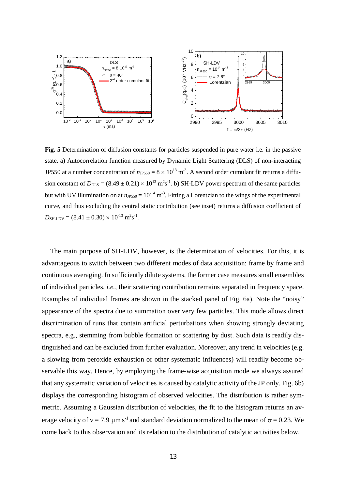

**Fig. 5** Determination of diffusion constants for particles suspended in pure water i.e. in the passive state. a) Autocorrelation function measured by Dynamic Light Scattering (DLS) of non-interacting JP550 at a number concentration of  $n_{JPS50} = 8 \times 10^{13}$  m<sup>-3</sup>. A second order cumulant fit returns a diffusion constant of  $D_{\text{DLS}} = (8.49 \pm 0.21) \times 10^{13} \text{ m}^2\text{s}^{-1}$ . b) SH-LDV power spectrum of the same particles but with UV illumination on at  $n_{JPS50} = 10^{-14}$  m<sup>-3</sup>. Fitting a Lorentzian to the wings of the experimental curve, and thus excluding the central static contribution (see inset) returns a diffusion coefficient of  $D_{\text{SH-LDV}} = (8.41 \pm 0.30) \times 10^{-13} \text{ m}^2 \text{s}^{-1}.$ 

The main purpose of SH-LDV, however, is the determination of velocities. For this, it is advantageous to switch between two different modes of data acquisition: frame by frame and continuous averaging. In sufficiently dilute systems, the former case measures small ensembles of individual particles, *i.e.*, their scattering contribution remains separated in frequency space. Examples of individual frames are shown in the stacked panel of Fig. 6a). Note the "noisy" appearance of the spectra due to summation over very few particles. This mode allows direct discrimination of runs that contain artificial perturbations when showing strongly deviating spectra, e.g., stemming from bubble formation or scattering by dust. Such data is readily distinguished and can be excluded from further evaluation. Moreover, any trend in velocities (e.g. a slowing from peroxide exhaustion or other systematic influences) will readily become observable this way. Hence, by employing the frame-wise acquisition mode we always assured that any systematic variation of velocities is caused by catalytic activity of the JP only. Fig. 6b) displays the corresponding histogram of observed velocities. The distribution is rather symmetric. Assuming a Gaussian distribution of velocities, the fit to the histogram returns an average velocity of  $v = 7.9 \mu m s^{-1}$  and standard deviation normalized to the mean of  $\sigma = 0.23$ . We come back to this observation and its relation to the distribution of catalytic activities below.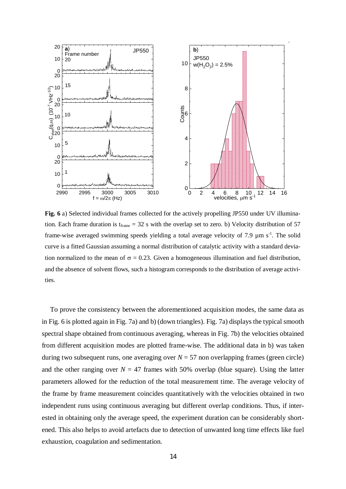

**Fig. 6** a) Selected individual frames collected for the actively propelling JP550 under UV illumination. Each frame duration is  $t_{frame} = 32$  s with the overlap set to zero. b) Velocity distribution of 57 frame-wise averaged swimming speeds yielding a total average velocity of 7.9  $\mu$ m s<sup>-1</sup>. The solid curve is a fitted Gaussian assuming a normal distribution of catalytic activity with a standard deviation normalized to the mean of  $\sigma = 0.23$ . Given a homogeneous illumination and fuel distribution, and the absence of solvent flows, such a histogram corresponds to the distribution of average activities.

To prove the consistency between the aforementioned acquisition modes, the same data as in Fig. 6 is plotted again in Fig. 7a) and b) (down triangles). Fig. 7a) displays the typical smooth spectral shape obtained from continuous averaging, whereas in Fig. 7b) the velocities obtained from different acquisition modes are plotted frame-wise. The additional data in b) was taken during two subsequent runs, one averaging over  $N = 57$  non overlapping frames (green circle) and the other ranging over  $N = 47$  frames with 50% overlap (blue square). Using the latter parameters allowed for the reduction of the total measurement time. The average velocity of the frame by frame measurement coincides quantitatively with the velocities obtained in two independent runs using continuous averaging but different overlap conditions. Thus, if interested in obtaining only the average speed, the experiment duration can be considerably shortened. This also helps to avoid artefacts due to detection of unwanted long time effects like fuel exhaustion, coagulation and sedimentation.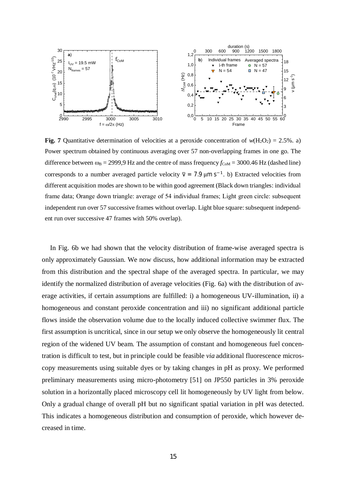

**Fig. 7** Quantitative determination of velocities at a peroxide concentration of  $w(H_2O_2) = 2.5\%$ . a) Power spectrum obtained by continuous averaging over 57 non-overlapping frames in one go. The difference between  $\omega_B = 2999.9$  Hz and the centre of mass frequency  $f_{\text{CoM}} = 3000.46$  Hz (dashed line) corresponds to a number averaged particle velocity  $\nabla = 7.9$   $\mu$ m s<sup>-1</sup>. b) Extracted velocities from different acquisition modes are shown to be within good agreement (Black down triangles: individual frame data; Orange down triangle: average of 54 individual frames; Light green circle: subsequent independent run over 57 successive frames without overlap. Light blue square: subsequent independent run over successive 47 frames with 50% overlap).

In Fig. 6b we had shown that the velocity distribution of frame-wise averaged spectra is only approximately Gaussian. We now discuss, how additional information may be extracted from this distribution and the spectral shape of the averaged spectra. In particular, we may identify the normalized distribution of average velocities (Fig. 6a) with the distribution of average activities, if certain assumptions are fulfilled: i) a homogeneous UV-illumination, ii) a homogeneous and constant peroxide concentration and iii) no significant additional particle flows inside the observation volume due to the locally induced collective swimmer flux. The first assumption is uncritical, since in our setup we only observe the homogeneously lit central region of the widened UV beam. The assumption of constant and homogeneous fuel concentration is difficult to test, but in principle could be feasible *via* additional fluorescence microscopy measurements using suitable dyes or by taking changes in pH as proxy. We performed preliminary measurements using micro-photometry [51] on JP550 particles in 3% peroxide solution in a horizontally placed microscopy cell lit homogeneously by UV light from below. Only a gradual change of overall pH but no significant spatial variation in pH was detected. This indicates a homogeneous distribution and consumption of peroxide, which however decreased in time.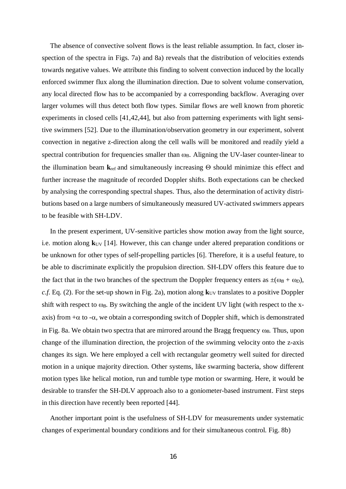The absence of convective solvent flows is the least reliable assumption. In fact, closer inspection of the spectra in Figs. 7a) and 8a) reveals that the distribution of velocities extends towards negative values. We attribute this finding to solvent convection induced by the locally enforced swimmer flux along the illumination direction. Due to solvent volume conservation, any local directed flow has to be accompanied by a corresponding backflow. Averaging over larger volumes will thus detect both flow types. Similar flows are well known from phoretic experiments in closed cells [41,42,44], but also from patterning experiments with light sensitive swimmers [52]. Due to the illumination/observation geometry in our experiment, solvent convection in negative z-direction along the cell walls will be monitored and readily yield a spectral contribution for frequencies smaller than  $\omega_B$ . Aligning the UV-laser counter-linear to the illumination beam  $\mathbf{k}_{\text{ref}}$  and simultaneously increasing  $\Theta$  should minimize this effect and further increase the magnitude of recorded Doppler shifts. Both expectations can be checked by analysing the corresponding spectral shapes. Thus, also the determination of activity distributions based on a large numbers of simultaneously measured UV-activated swimmers appears to be feasible with SH-LDV.

In the present experiment, UV-sensitive particles show motion away from the light source, i.e. motion along  $\mathbf{k}_{UV}$  [14]. However, this can change under altered preparation conditions or be unknown for other types of self-propelling particles [6]. Therefore, it is a useful feature, to be able to discriminate explicitly the propulsion direction. SH-LDV offers this feature due to the fact that in the two branches of the spectrum the Doppler frequency enters as  $\pm(\omega_B + \omega_D)$ ,  $c.f.$  Eq. (2). For the set-up shown in Fig. 2a), motion along  $\mathbf{k}_{UV}$  translates to a positive Doppler shift with respect to  $\omega_B$ . By switching the angle of the incident UV light (with respect to the xaxis) from  $+\alpha$  to  $-\alpha$ , we obtain a corresponding switch of Doppler shift, which is demonstrated in Fig. 8a. We obtain two spectra that are mirrored around the Bragg frequency  $\omega_B$ . Thus, upon change of the illumination direction, the projection of the swimming velocity onto the z-axis changes its sign. We here employed a cell with rectangular geometry well suited for directed motion in a unique majority direction. Other systems, like swarming bacteria, show different motion types like helical motion, run and tumble type motion or swarming. Here, it would be desirable to transfer the SH-DLV approach also to a goniometer-based instrument. First steps in this direction have recently been reported [44].

Another important point is the usefulness of SH-LDV for measurements under systematic changes of experimental boundary conditions and for their simultaneous control. Fig. 8b)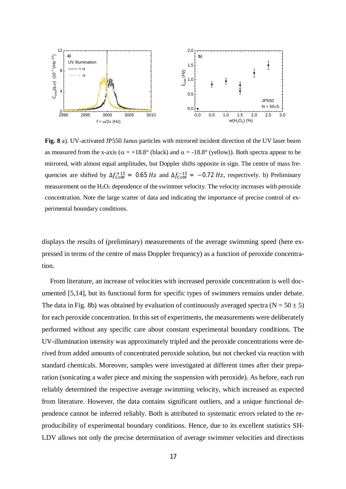

**Fig. 8** a). UV-activated JP550 Janus particles with mirrored incident direction of the UV laser beam as measured from the x-axis ( $\alpha = +18.8^{\circ}$  (black) and  $\alpha = -18.8^{\circ}$  (yellow)). Both spectra appear to be mirrored, with almost equal amplitudes, but Doppler shifts opposite in sign. The centre of mass frequencies are shifted by  $\Delta f_{COM}^{+15} = 0.65 Hz$  and  $\Delta f_{COM}^{-15} = -0.72 Hz$ , respectively. b) Preliminary measurement on the  $H_2O_2$  dependence of the swimmer velocity. The velocity increases with peroxide concentration. Note the large scatter of data and indicating the importance of precise control of experimental boundary conditions.

displays the results of (preliminary) measurements of the average swimming speed (here expressed in terms of the centre of mass Doppler frequency) as a function of peroxide concentration.

From literature, an increase of velocities with increased peroxide concentration is well documented [5,14], but its functional form for specific types of swimmers remains under debate. The data in Fig. 8b) was obtained by evaluation of continuously averaged spectra ( $N = 50 \pm 5$ ) for each peroxide concentration. In this set of experiments, the measurements were deliberately performed without any specific care about constant experimental boundary conditions. The UV-illumination intensity was approximately tripled and the peroxide concentrations were derived from added amounts of concentrated peroxide solution, but not checked via reaction with standard chemicals. Moreover, samples were investigated at different times after their preparation (sonicating a wafer piece and mixing the suspension with peroxide). As before, each run reliably determined the respective average swimming velocity, which increased as expected from literature. However, the data contains significant outliers, and a unique functional dependence cannot be inferred reliably. Both is attributed to systematic errors related to the reproducibility of experimental boundary conditions. Hence, due to its excellent statistics SH-LDV allows not only the precise determination of average swimmer velocities and directions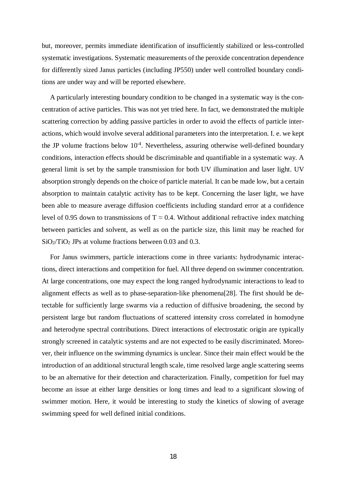but, moreover, permits immediate identification of insufficiently stabilized or less-controlled systematic investigations. Systematic measurements of the peroxide concentration dependence for differently sized Janus particles (including JP550) under well controlled boundary conditions are under way and will be reported elsewhere.

A particularly interesting boundary condition to be changed in a systematic way is the concentration of active particles. This was not yet tried here. In fact, we demonstrated the multiple scattering correction by adding passive particles in order to avoid the effects of particle interactions, which would involve several additional parameters into the interpretation. I. e. we kept the JP volume fractions below  $10^{-4}$ . Nevertheless, assuring otherwise well-defined boundary conditions, interaction effects should be discriminable and quantifiable in a systematic way. A general limit is set by the sample transmission for both UV illumination and laser light. UV absorption strongly depends on the choice of particle material. It can be made low, but a certain absorption to maintain catalytic activity has to be kept. Concerning the laser light, we have been able to measure average diffusion coefficients including standard error at a confidence level of 0.95 down to transmissions of  $T \approx 0.4$ . Without additional refractive index matching between particles and solvent, as well as on the particle size, this limit may be reached for  $SiO<sub>2</sub>/TiO<sub>2</sub>$  JPs at volume fractions between 0.03 and 0.3.

For Janus swimmers, particle interactions come in three variants: hydrodynamic interactions, direct interactions and competition for fuel. All three depend on swimmer concentration. At large concentrations, one may expect the long ranged hydrodynamic interactions to lead to alignment effects as well as to phase-separation-like phenomena[28]. The first should be detectable for sufficiently large swarms via a reduction of diffusive broadening, the second by persistent large but random fluctuations of scattered intensity cross correlated in homodyne and heterodyne spectral contributions. Direct interactions of electrostatic origin are typically strongly screened in catalytic systems and are not expected to be easily discriminated. Moreover, their influence on the swimming dynamics is unclear. Since their main effect would be the introduction of an additional structural length scale, time resolved large angle scattering seems to be an alternative for their detection and characterization. Finally, competition for fuel may become an issue at either large densities or long times and lead to a significant slowing of swimmer motion. Here, it would be interesting to study the kinetics of slowing of average swimming speed for well defined initial conditions.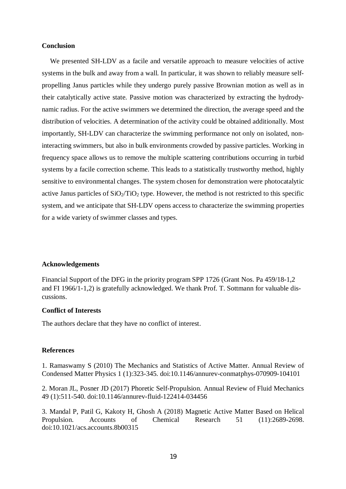### **Conclusion**

We presented SH-LDV as a facile and versatile approach to measure velocities of active systems in the bulk and away from a wall. In particular, it was shown to reliably measure selfpropelling Janus particles while they undergo purely passive Brownian motion as well as in their catalytically active state. Passive motion was characterized by extracting the hydrodynamic radius. For the active swimmers we determined the direction, the average speed and the distribution of velocities. A determination of the activity could be obtained additionally. Most importantly, SH-LDV can characterize the swimming performance not only on isolated, noninteracting swimmers, but also in bulk environments crowded by passive particles. Working in frequency space allows us to remove the multiple scattering contributions occurring in turbid systems by a facile correction scheme. This leads to a statistically trustworthy method, highly sensitive to environmental changes. The system chosen for demonstration were photocatalytic active Janus particles of  $SiO<sub>2</sub>/TiO<sub>2</sub>$  type. However, the method is not restricted to this specific system, and we anticipate that SH-LDV opens access to characterize the swimming properties for a wide variety of swimmer classes and types.

#### **Acknowledgements**

Financial Support of the DFG in the priority program SPP 1726 (Grant Nos. Pa 459/18-1,2 and FI 1966/1-1,2) is gratefully acknowledged. We thank Prof. T. Sottmann for valuable discussions.

## **Conflict of Interests**

The authors declare that they have no conflict of interest.

#### **References**

1. Ramaswamy S (2010) The Mechanics and Statistics of Active Matter. Annual Review of Condensed Matter Physics 1 (1):323-345. doi:10.1146/annurev-conmatphys-070909-104101

2. Moran JL, Posner JD (2017) Phoretic Self-Propulsion. Annual Review of Fluid Mechanics 49 (1):511-540. doi:10.1146/annurev-fluid-122414-034456

3. Mandal P, Patil G, Kakoty H, Ghosh A (2018) Magnetic Active Matter Based on Helical Propulsion. Accounts of Chemical Research 51 (11):2689-2698. doi:10.1021/acs.accounts.8b00315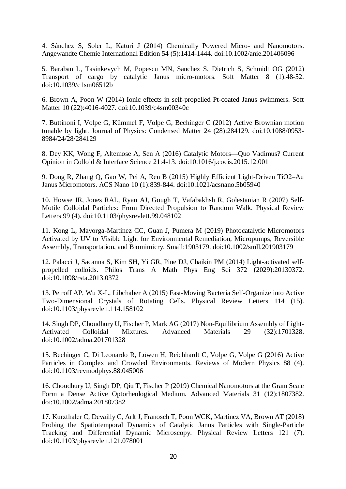4. Sánchez S, Soler L, Katuri J (2014) Chemically Powered Micro- and Nanomotors. Angewandte Chemie International Edition 54 (5):1414-1444. doi:10.1002/anie.201406096

5. Baraban L, Tasinkevych M, Popescu MN, Sanchez S, Dietrich S, Schmidt OG (2012) Transport of cargo by catalytic Janus micro-motors. Soft Matter 8 (1):48-52. doi:10.1039/c1sm06512b

6. Brown A, Poon W (2014) Ionic effects in self-propelled Pt-coated Janus swimmers. Soft Matter 10 (22):4016-4027. doi:10.1039/c4sm00340c

7. Buttinoni I, Volpe G, Kümmel F, Volpe G, Bechinger C (2012) Active Brownian motion tunable by light. Journal of Physics: Condensed Matter 24 (28):284129. doi:10.1088/0953- 8984/24/28/284129

8. Dey KK, Wong F, Altemose A, Sen A (2016) Catalytic Motors—Quo Vadimus? Current Opinion in Colloid & Interface Science 21:4-13. doi:10.1016/j.cocis.2015.12.001

9. Dong R, Zhang Q, Gao W, Pei A, Ren B (2015) Highly Efficient Light-Driven TiO2–Au Janus Micromotors. ACS Nano 10 (1):839-844. doi:10.1021/acsnano.5b05940

10. Howse JR, Jones RAL, Ryan AJ, Gough T, Vafabakhsh R, Golestanian R (2007) Self-Motile Colloidal Particles: From Directed Propulsion to Random Walk. Physical Review Letters 99 (4). doi:10.1103/physrevlett.99.048102

11. Kong L, Mayorga‐Martinez CC, Guan J, Pumera M (2019) Photocatalytic Micromotors Activated by UV to Visible Light for Environmental Remediation, Micropumps, Reversible Assembly, Transportation, and Biomimicry. Small:1903179. doi:10.1002/smll.201903179

12. Palacci J, Sacanna S, Kim SH, Yi GR, Pine DJ, Chaikin PM (2014) Light-activated selfpropelled colloids. Philos Trans A Math Phys Eng Sci 372 (2029):20130372. doi:10.1098/rsta.2013.0372

13. Petroff AP, Wu X-L, Libchaber A (2015) Fast-Moving Bacteria Self-Organize into Active Two-Dimensional Crystals of Rotating Cells. Physical Review Letters 114 (15). doi:10.1103/physrevlett.114.158102

14. Singh DP, Choudhury U, Fischer P, Mark AG (2017) Non-Equilibrium Assembly of Light-Activated Colloidal Mixtures. Advanced Materials 29 (32):1701328. doi:10.1002/adma.201701328

15. Bechinger C, Di Leonardo R, Löwen H, Reichhardt C, Volpe G, Volpe G (2016) Active Particles in Complex and Crowded Environments. Reviews of Modern Physics 88 (4). doi:10.1103/revmodphys.88.045006

16. Choudhury U, Singh DP, Qiu T, Fischer P (2019) Chemical Nanomotors at the Gram Scale Form a Dense Active Optorheological Medium. Advanced Materials 31 (12):1807382. doi:10.1002/adma.201807382

17. Kurzthaler C, Devailly C, Arlt J, Franosch T, Poon WCK, Martinez VA, Brown AT (2018) Probing the Spatiotemporal Dynamics of Catalytic Janus Particles with Single-Particle Tracking and Differential Dynamic Microscopy. Physical Review Letters 121 (7). doi:10.1103/physrevlett.121.078001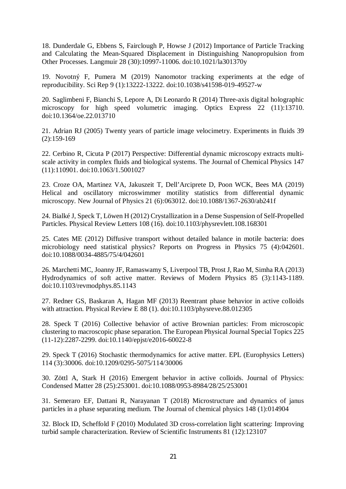18. Dunderdale G, Ebbens S, Fairclough P, Howse J (2012) Importance of Particle Tracking and Calculating the Mean-Squared Displacement in Distinguishing Nanopropulsion from Other Processes. Langmuir 28 (30):10997-11006. doi:10.1021/la301370y

19. Novotný F, Pumera M (2019) Nanomotor tracking experiments at the edge of reproducibility. Sci Rep 9 (1):13222-13222. doi:10.1038/s41598-019-49527-w

20. Saglimbeni F, Bianchi S, Lepore A, Di Leonardo R (2014) Three-axis digital holographic microscopy for high speed volumetric imaging. Optics Express 22 (11):13710. doi:10.1364/oe.22.013710

21. Adrian RJ (2005) Twenty years of particle image velocimetry. Experiments in fluids 39 (2):159-169

22. Cerbino R, Cicuta P (2017) Perspective: Differential dynamic microscopy extracts multiscale activity in complex fluids and biological systems. The Journal of Chemical Physics 147 (11):110901. doi:10.1063/1.5001027

23. Croze OA, Martinez VA, Jakuszeit T, Dell'Arciprete D, Poon WCK, Bees MA (2019) Helical and oscillatory microswimmer motility statistics from differential dynamic microscopy. New Journal of Physics 21 (6):063012. doi:10.1088/1367-2630/ab241f

24. Bialké J, Speck T, Löwen H (2012) Crystallization in a Dense Suspension of Self-Propelled Particles. Physical Review Letters 108 (16). doi:10.1103/physrevlett.108.168301

25. Cates ME (2012) Diffusive transport without detailed balance in motile bacteria: does microbiology need statistical physics? Reports on Progress in Physics 75 (4):042601. doi:10.1088/0034-4885/75/4/042601

26. Marchetti MC, Joanny JF, Ramaswamy S, Liverpool TB, Prost J, Rao M, Simha RA (2013) Hydrodynamics of soft active matter. Reviews of Modern Physics 85 (3):1143-1189. doi:10.1103/revmodphys.85.1143

27. Redner GS, Baskaran A, Hagan MF (2013) Reentrant phase behavior in active colloids with attraction. Physical Review E 88 (1). doi:10.1103/physreve.88.012305

28. Speck T (2016) Collective behavior of active Brownian particles: From microscopic clustering to macroscopic phase separation. The European Physical Journal Special Topics 225 (11-12):2287-2299. doi:10.1140/epjst/e2016-60022-8

29. Speck T (2016) Stochastic thermodynamics for active matter. EPL (Europhysics Letters) 114 (3):30006. doi:10.1209/0295-5075/114/30006

30. Zöttl A, Stark H (2016) Emergent behavior in active colloids. Journal of Physics: Condensed Matter 28 (25):253001. doi:10.1088/0953-8984/28/25/253001

31. Semeraro EF, Dattani R, Narayanan T (2018) Microstructure and dynamics of janus particles in a phase separating medium. The Journal of chemical physics 148 (1):014904

32. Block ID, Scheffold F (2010) Modulated 3D cross-correlation light scattering: Improving turbid sample characterization. Review of Scientific Instruments 81 (12):123107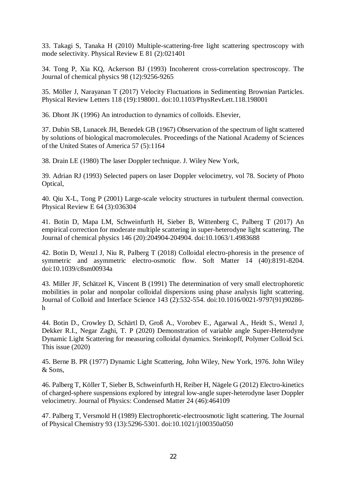33. Takagi S, Tanaka H (2010) Multiple-scattering-free light scattering spectroscopy with mode selectivity. Physical Review E 81 (2):021401

34. Tong P, Xia KQ, Ackerson BJ (1993) Incoherent cross‐correlation spectroscopy. The Journal of chemical physics 98 (12):9256-9265

35. Möller J, Narayanan T (2017) Velocity Fluctuations in Sedimenting Brownian Particles. Physical Review Letters 118 (19):198001. doi:10.1103/PhysRevLett.118.198001

36. Dhont JK (1996) An introduction to dynamics of colloids. Elsevier,

37. Dubin SB, Lunacek JH, Benedek GB (1967) Observation of the spectrum of light scattered by solutions of biological macromolecules. Proceedings of the National Academy of Sciences of the United States of America 57 (5):1164

38. Drain LE (1980) The laser Doppler technique. J. Wiley New York,

39. Adrian RJ (1993) Selected papers on laser Doppler velocimetry, vol 78. Society of Photo Optical,

40. Qiu X-L, Tong P (2001) Large-scale velocity structures in turbulent thermal convection. Physical Review E 64 (3):036304

41. Botin D, Mapa LM, Schweinfurth H, Sieber B, Wittenberg C, Palberg T (2017) An empirical correction for moderate multiple scattering in super-heterodyne light scattering. The Journal of chemical physics 146 (20):204904-204904. doi:10.1063/1.4983688

42. Botin D, Wenzl J, Niu R, Palberg T (2018) Colloidal electro-phoresis in the presence of symmetric and asymmetric electro-osmotic flow. Soft Matter 14 (40):8191-8204. doi:10.1039/c8sm00934a

43. Miller JF, Schätzel K, Vincent B (1991) The determination of very small electrophoretic mobilities in polar and nonpolar colloidal dispersions using phase analysis light scattering. Journal of Colloid and Interface Science 143 (2):532-554. doi:10.1016/0021-9797(91)90286 h

44. Botin D., Crowley D, Schärtl D, Groß A., Vorobev E., Agarwal A., Heidt S., Wenzl J, Dekker R.I., Negar Zaghi, T. P (2020) Demonstration of variable angle Super-Heterodyne Dynamic Light Scattering for measuring colloidal dynamics. Steinkopff, Polymer Colloid Sci. This issue (2020)

45. Berne B. PR (1977) Dynamic Light Scattering, John Wiley, New York, 1976. John Wiley & Sons,

46. Palberg T, Köller T, Sieber B, Schweinfurth H, Reiber H, Nägele G (2012) Electro-kinetics of charged-sphere suspensions explored by integral low-angle super-heterodyne laser Doppler velocimetry. Journal of Physics: Condensed Matter 24 (46):464109

47. Palberg T, Versmold H (1989) Electrophoretic-electroosmotic light scattering. The Journal of Physical Chemistry 93 (13):5296-5301. doi:10.1021/j100350a050